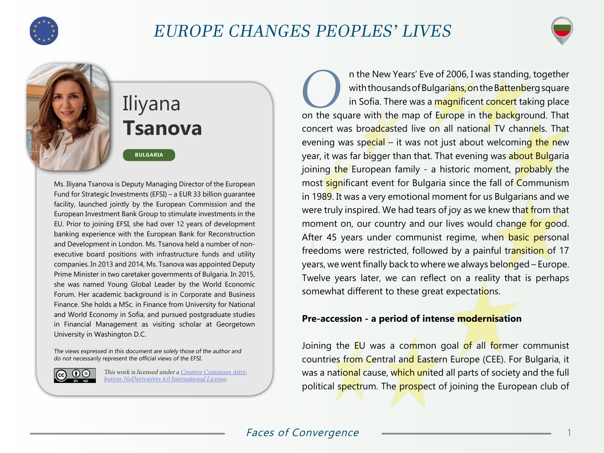

## EUROPE CHANGES PEOPLES' LIVES





**BULGARIA**

Ms. Iliyana Tsanova is Deputy Managing Director of the European Fund for Strategic Investments (EFSI) – a EUR 33 billion guarantee facility, launched jointly by the European Commission and the European Investment Bank Group to stimulate investments in the EU. Prior to joining EFSI, she had over 12 years of development banking experience with the European Bank for Reconstruction and Development in London. Ms. Tsanova held a number of nonexecutive board positions with infrastructure funds and utility companies. In 2013 and 2014, Ms. Tsanova was appointed Deputy Prime Minister in two caretaker governments of Bulgaria. In 2015, she was named Young Global Leader by the World Economic Forum. Her academic background is in Corporate and Business Finance. She holds a MSc. in Finance from University for National and World Economy in Sofia, and pursued postgraduate studies in Financial Management as visiting scholar at Georgetown University in Washington D.C.

The views expressed in this document are solely those of the author and do not necessarily represent the official views of the EFSI.



This work is licensed under a [Creative Commons Attri](https://creativecommons.org/licenses/by-nd/4.0/)[bution-NoDerivatives 4.0 International License](https://creativecommons.org/licenses/by-nd/4.0/).

**OCONATA IS and The New Years' Eve of 2006, I was standing, together with thousands of Bulgarians, on the Battenberg square in Sofia. There was a magnificent concert taking place** with thousands of Bulgari<mark>ans, o</mark>n the B<mark>attenb</mark>erg square in Sofia. There was a magnificent concert taking place on the square with the map of Europe in the background. That concert was broadcasted live on all national TV channels. That evening was special – it was not just about welcoming the new year, it was far bigger than that. That evening was about Bulgaria joining the European family - a historic moment, probably the most significant event for Bulgaria since the fall of Communism in 1989. It was a very emotional moment for us Bulgarians and we were truly inspired. We had tears of joy as we knew that from that moment on, our country and our lives would change for good. After 45 years under communist regime, when basic personal freedoms were restricted, followed by a painful transition of 17 years, we went finally back to where we always belonged – Europe. Twelve years later, we can reflect on a reality that is perhaps somewhat different to these great expectations.

## **Pre-accession - a period of intense modernisation**

Joining the EU was a common goal of all former communist countries from Central and Eastern Europe (CEE). For Bulgaria, it was a national cause, which united all parts of society and the full political spectrum. The prospect of joining the European club of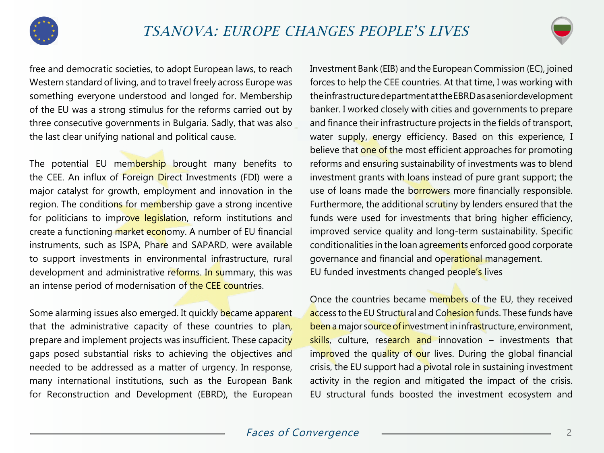



free and democratic societies, to adopt European laws, to reach Western standard of living, and to travel freely across Europe was something everyone understood and longed for. Membership of the EU was a strong stimulus for the reforms carried out by three consecutive governments in Bulgaria. Sadly, that was also the last clear unifying national and political cause.

The potential EU membership brought many benefits to the CEE. An influx of Foreign Direct Investments (FDI) were a major catalyst for growth, employment and innovation in the region. The conditions for membership gave a strong incentive for politicians to improve legislation, reform institutions and create a functioning market economy. A number of EU financial instruments, such as ISPA, Phare and SAPARD, were available to support investments in environmental infrastructure, rural development and administrative reforms. In summary, this was an intense period of modernisation of the CEE countries.

Some alarming issues also emerged. It quickly became apparent that the administrative capacity of these countries to plan, prepare and implement projects was insufficient. These capacity gaps posed substantial risks to achieving the objectives and needed to be addressed as a matter of urgency. In response, many international institutions, such as the European Bank for Reconstruction and Development (EBRD), the European

Investment Bank (EIB) and the European Commission (EC), joined forces to help the CEE countries. At that time, I was working with the infrastructure department at the EBRD as a senior development banker. I worked closely with cities and governments to prepare and finance their infrastructure projects in the fields of transport, water supply, energy efficiency. Based on this experience, I believe that one of the most efficient approaches for promoting reforms and ensuring sustainability of investments was to blend investment grants with loans instead of pure grant support; the use of loans made the borrowers more financially responsible. Furthermore, the additional scrutiny by lenders ensured that the funds were used for investments that bring higher efficiency, improved service quality and long-term sustainability. Specific conditionalities in the loan agreements enforced good corporate governance and financial and operational management. EU funded investments changed people's lives

Once the countries became members of the EU, they received access to the EU Structural and Cohesion funds. These funds have been a major source of investment in infrastructure, environment, skills, culture, research and innovation - investments that improved the quality of our lives. During the global financial crisis, the EU support had a pivotal role in sustaining investment activity in the region and mitigated the impact of the crisis. EU structural funds boosted the investment ecosystem and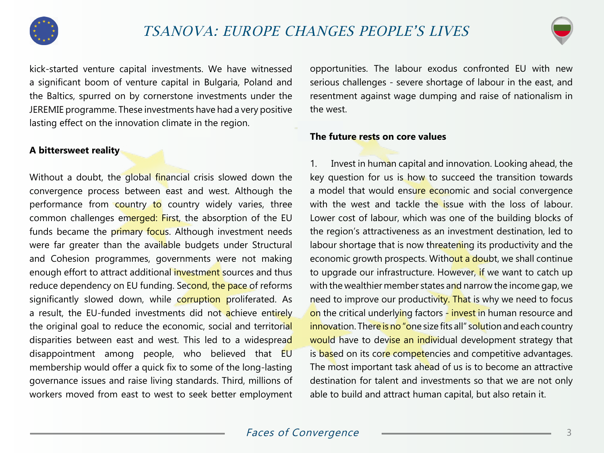



kick-started venture capital investments. We have witnessed a significant boom of venture capital in Bulgaria, Poland and the Baltics, spurred on by cornerstone investments under the JEREMIE programme. These investments have had a very positive lasting effect on the innovation climate in the region.

## **A bittersweet reality**

Without a doubt, the global financial crisis slowed down the convergence process between east and west. Although the performance from country to country widely varies, three common challenges emerged: First, the absorption of the EU funds became the primary focus. Although investment needs were far greater than the available budgets under Structural and Cohesion programmes, governments were not making enough effort to attract additional investment sources and thus reduce dependency on EU funding. Second, the pace of reforms significantly slowed down, while corruption proliferated. As a result, the EU-funded investments did not achieve entirely the original goal to reduce the economic, social and territorial disparities between east and west. This led to a widespread disappointment among people, who believed that EU membership would offer a quick fix to some of the long-lasting governance issues and raise living standards. Third, millions of workers moved from east to west to seek better employment

opportunities. The labour exodus confronted EU with new serious challenges - severe shortage of labour in the east, and resentment against wage dumping and raise of nationalism in the west.

## **The future rests on core values**

1. Invest in human capital and innovation. Looking ahead, the key question for us is how to succeed the transition towards a model that would ensure economic and social convergence with the west and tackle the issue with the loss of labour. Lower cost of labour, which was one of the building blocks of the region's attractiveness as an investment destination, led to labour shortage that is now threatening its productivity and the economic growth prospects. Without a doubt, we shall continue to upgrade our infrastructure. However, if we want to catch up with the wealthier member states and narrow the income gap, we need to improve our productivity. That is why we need to focus on the critical underlying factors - invest in human resource and innovation. There is no "one size fits all" solution and each country would have to devise an individual development strategy that is based on its core competencies and competitive advantages. The most important task ahead of us is to become an attractive destination for talent and investments so that we are not only able to build and attract human capital, but also retain it.